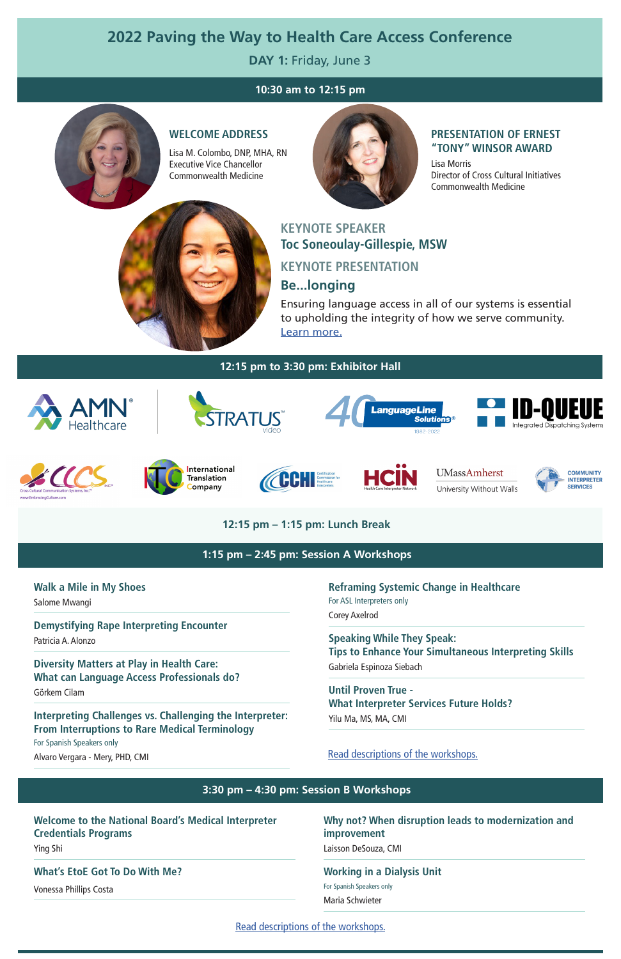**Walk a Mile in My Shoes**

Salome Mwangi

#### **Demystifying Rape Interpreting Encounter**

Patricia A. Alonzo

**Diversity Matters at Play in Health Care: What can Language Access Professionals do?**

Görkem Cilam

## **Interpreting Challenges vs. Challenging the Interpreter: From Interruptions to Rare Medical Terminology**

For Spanish Speakers only

Alvaro Vergara - Mery, PHD, CMI

[Read descriptions of the workshops.](https://www.massmedicalinterpreting.org/sites/default/files/2022%20Workshop%20Descriptions%20Rev%205_9_22.pdf)

**Reframing Systemic Change in Healthcare**  For ASL Interpreters only Corey Axelrod

**Speaking While They Speak: Tips to Enhance Your Simultaneous Interpreting Skills**  Gabriela Espinoza Siebach

**Until Proven True - What Interpreter Services Future Holds?**  Yilu Ma, MS, MA, CMI

# **2022 Paving the Way to Health Care Access Conference**

**DAY 1:** Friday, June 3

# **KEYNOTE SPEAKER Toc Soneoulay-Gillespie, MSW KEYNOTE PRESENTATION Be...longing**

Ensuring language access in all of our systems is essential to upholding the integrity of how we serve community. [Learn more.](https://www.massmedicalinterpreting.org/sites/default/files/Friday%20Keynote%20speaker%20TSoneoulayGillespie2022%20FINAL.pdf)

## **10:30 am to 12:15 pm**



## **12:15 pm – 1:15 pm: Lunch Break**

## **Welcome to the National Board's Medical Interpreter Credentials Programs**

Ying Shi

#### **What's EtoE Got To Do With Me?**

Vonessa Phillips Costa

**Why not? When disruption leads to modernization and improvement** Laisson DeSouza, CMI

#### **Working in a Dialysis Unit**

For Spanish Speakers only

Maria Schwieter

#### **12:15 pm to 3:30 pm: Exhibitor Hall**



#### **1:15 pm – 2:45 pm: Session A Workshops**

#### **3:30 pm – 4:30 pm: Session B Workshops**

[Read descriptions of the workshops.](https://www.massmedicalinterpreting.org/sites/default/files/2022%20Workshop%20Descriptions%20Rev%205_9_22.pdf)

#### **WELCOME ADDRESS**

Lisa M. Colombo, DNP, MHA, RN Executive Vice Chancellor Commonwealth Medicine



## **PRESENTATION OF ERNEST "TONY" WINSOR AWARD**

Lisa Morris Director of Cross Cultural Initiatives Commonwealth Medicine